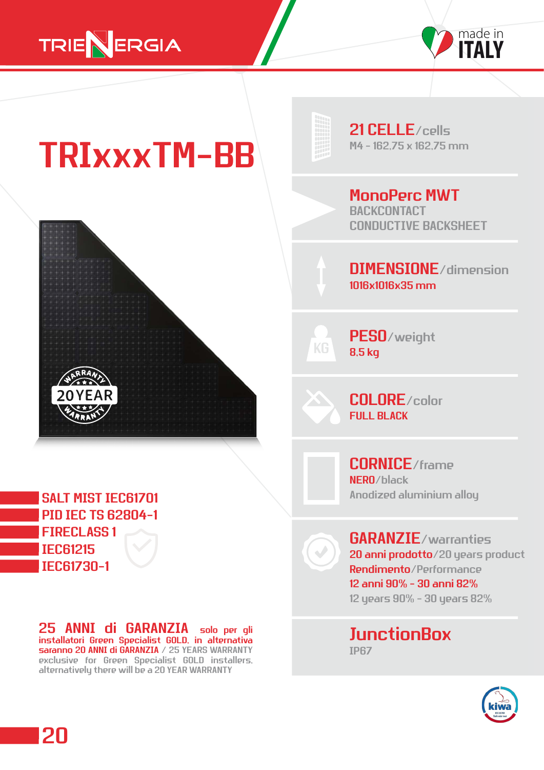



## $TRIX$  $XXTM-BB$



21 CELLE/cells

MonoPerc MWT **BACKCONTACT** CONDUCTIVE BACKSHEET

DIMENSIONE/dimension 1016x1016x35 mm

PESO/weight 8,5 kg

COLORE/color FULL BLACK

CORNICE/frame NERO/black Anodized aluminium alloy

GARANZIE/warranties 20 anni prodotto/20 years product Rendimento/Performance 12 anni 90% - 30 anni 82% 12 years 90% - 30 years 82%

**JunctionBox** IP67



SALT MIST IEC61701 PID IEC TS 62804-1 FIRECLASS 1 IEC61215 IEC61730-1

20

25 ANNI di GARANZIA solo per gli installatori Green Specialist GOLD, in alternativa saranno 20 ANNI di GARANZIA / 25 YEARS WARRANTY exclusive for Green Specialist GOLD installers, alternatively there will be a 20 YEAR WARRANTY